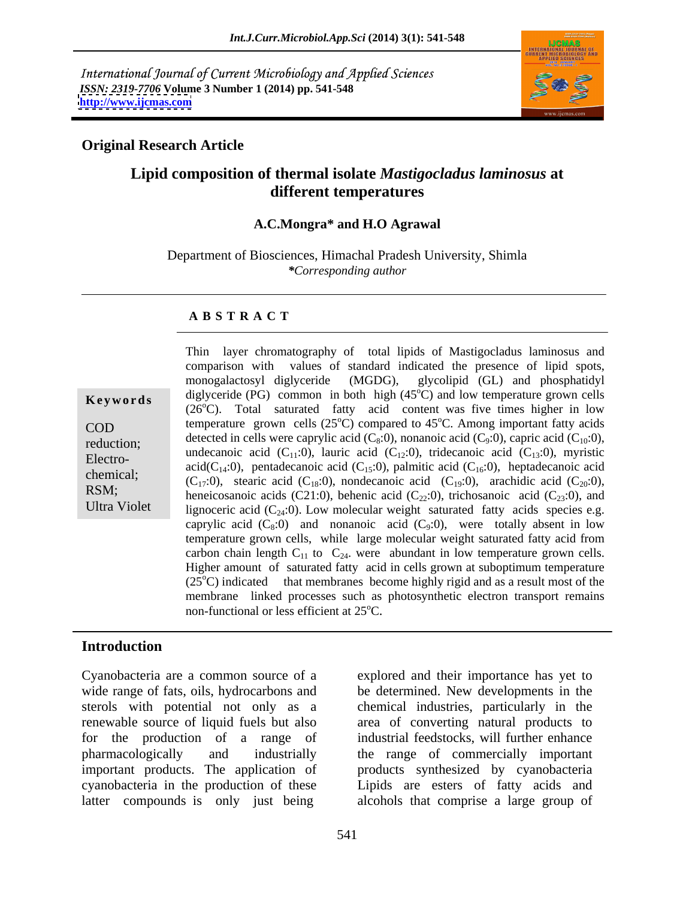International Journal of Current Microbiology and Applied Sciences *ISSN: 2319-7706* **Volume 3 Number 1 (2014) pp. 541-548 <http://www.ijcmas.com>**



### **Original Research Article**

## **Lipid composition of thermal isolate** *Mastigocladus laminosus* **at different temperatures**

### **A.C.Mongra\* and H.O Agrawal**

Department of Biosciences, Himachal Pradesh University, Shimla *\*Corresponding author*

### **A B S T R A C T**

| Keywords            |
|---------------------|
| COD                 |
| reduction;          |
| Electro-            |
| chemical;           |
| RSM;                |
| <b>Ultra Violet</b> |

**Keywords** diglyceride (PG) common in both high  $(45^{\circ}C)$  and low temperature grown cells COD temperature grown cells  $(25^{\circ}C)$  compared to  $45^{\circ}C$ . Among important fatty acids reduction;<br>
undecanoic acid (C<sub>11</sub>:0), lauric acid (C<sub>12</sub>:0), tridecanoic acid (C<sub>13</sub>:0), myristic<br>
Electro Electro-<br>acid(C<sub>14</sub>:0), pentadecanoic acid (C<sub>15</sub>:0), palmitic acid (C<sub>16</sub>:0), heptadecanoic acid<br>acid(C<sub>14</sub>:0), pentadecanoic acid (C<sub>15</sub>:0), palmitic acid (C<sub>16</sub>:0), heptadecanoic acid chemical;<br>  $(C_{17}:0)$ , stearic acid  $(C_{18}:0)$ , nondecanoic acid  $(C_{19}:0)$ , arachidic acid  $(C_{20}:0)$ , RSM;<br>heneicosanoic acids (C21:0), behenic acid (C<sub>22</sub>:0), trichosanoic acid (C<sub>23</sub>:0), and Ultra Violet lignoceric acid  $(C_{24}:0)$ . Low molecular weight saturated fatty acids species e.g. Thin layer chromatography of total lipids of Mastigocladus laminosus and comparison with values of standard indicated the presence of lipid spots, monogalactosyl diglyceride (MGDG), glycolipid (GL) and phosphatidyl  $^{\circ}$ C) and low temperature grown cells  $(26^{\circ}C)$ . Total saturated fatty acid content was five times higher in low detected in cells were caprylic acid  $(C_8:0)$ , nonanoic acid  $(C_9:0)$ , capric acid  $(C_{10}:0)$ , caprylic acid  $(C_8:0)$  and nonanoic acid  $(C_9:0)$ , were totally absent in low temperature grown cells, while large molecular weight saturated fatty acid from carbon chain length  $C_{11}$  to  $C_{24}$ , were abundant in low temperature grown cells. Higher amount of saturated fatty acid in cells grown at suboptimum temperature  $(25^{\circ}C)$  indicated that membranes become highly rigid and as a result most of the membrane linked processes such as photosynthetic electron transport remains non-functional or less efficient at  $25^{\circ}$ C.

### **Introduction**

Cyanobacteria are a common source of a explored and their importance has yet to latter compounds is only just being alcohols that comprise a large group of

wide range of fats, oils, hydrocarbons and be determined. New developments in the sterols with potential not only as a chemical industries, particularly in the renewable source of liquid fuels but also area of converting natural products to for the production of a range of industrial feedstocks, will further enhance pharmacologically and industrially the range of commercially important important products. The application of products synthesized by cyanobacteria cyanobacteria in the production of these Lipids are esters of fatty acids and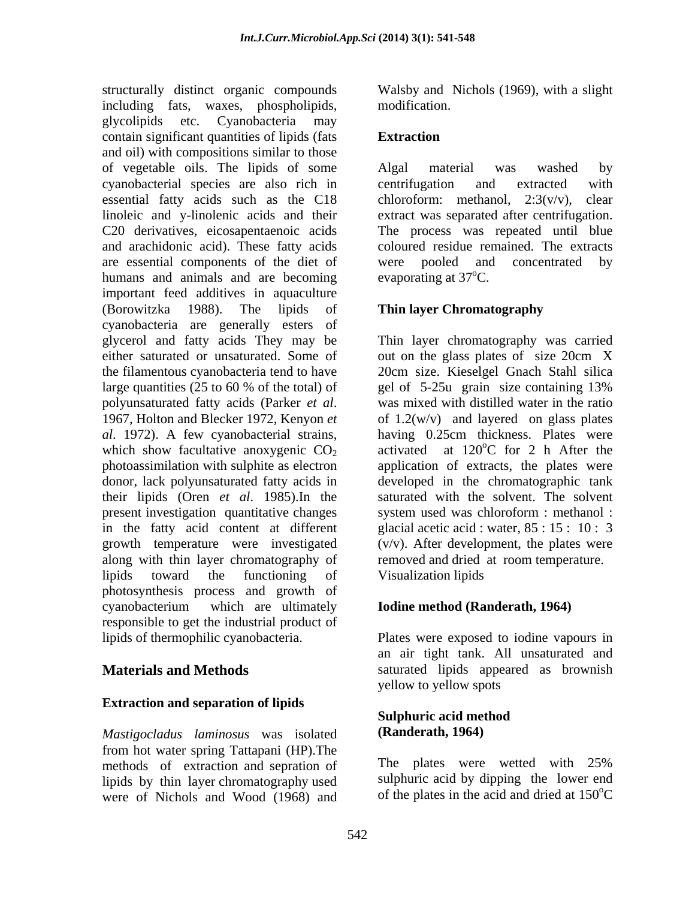structurally distinct organic compounds Walsby and Nichols (1969), with a slight including fats, waxes, phospholipids, glycolipids etc. Cyanobacteria may contain significant quantities of lipids (fats Extraction and oil) with compositions similar to those of vegetable oils. The lipids of some cyanobacterial species are also rich in essential fatty acids such as the C18 linoleic and y-linolenic acids and their extract was separated after centrifugation. C20 derivatives, eicosapentaenoic acids The process was repeated until blue and arachidonic acid). These fatty acids are essential components of the diet of were pooled and concentrated by humans and animals and are becoming important feed additives in aquaculture (Borowitzka 1988). The lipids of **Thin layer Chromatography** cyanobacteria are generally esters of glycerol and fatty acids They may be Thin layer chromatography was carried either saturated or unsaturated. Some of out on the glass plates of size 20cm X the filamentous cyanobacteria tend to have 20cm size. Kieselgel Gnach Stahl silica large quantities (25 to 60 % of the total) of gel of 5-25u grain size containing 13% polyunsaturated fatty acids (Parker *et al*. was mixed with distilled water in the ratio 1967, Holton and Blecker 1972, Kenyon *et* of 1.2(w/v) and layered on glass plates *al*. 1972). A few cyanobacterial strains, having 0.25cm thickness. Plates were which show facultative anoxygenic  $CO<sub>2</sub>$  activated at 120<sup>o</sup>C for 2 h After the photoassimilation with sulphite as electron application of extracts, the plates were donor, lack polyunsaturated fatty acids in developed in the chromatographic tank their lipids (Oren *et al*. 1985).In the saturated with the solvent. The solvent present investigation quantitative changes system used was chloroform : methanol : in the fatty acid content at different glacial acetic acid : water, 85 : 15 : 10 : 3 growth temperature were investigated (v/v). After development, the plates were along with thin layer chromatography of lipids toward the functioning of Visualization lipids photosynthesis process and growth of cyanobacterium which are ultimately **Iodine method (Randerath, 1964)** responsible to get the industrial product of lipids of thermophilic cyanobacteria. Plates were exposed to iodine vapours in

### **Extraction and separation of lipids**

*Mastigocladus laminosus* was isolated from hot water spring Tattapani (HP). The<br>methods of extraction and separtion of The plates were wetted with 25% methods of extraction and sepration of lipids by thin layer chromatography used were of Nichols and Wood (1968) and

modification.

## **Extraction**

Algal material was washed by centrifugation and extracted with chloroform: methanol, 2:3(v/v), clear coloured residue remained. The extracts pooled and concentrated evaporating at  $37^{\circ}$ C.

gel of 5-25u grain size containing 13% was mixed with distilled water in the ratio of  $1.2(w/v)$  and layered on glass plates oC for 2 h After the removed and dried at room temperature. Visualization lipids

### **Iodine method (Randerath, 1964)**

**Materials and Methods** saturated lipids appeared as brownish an air tight tank. All unsaturated and yellow to yellow spots

### **Sulphuric acid method (Randerath, 1964)**

The plates were wetted with 25% sulphuric acid by dipping the lower end of the plates in the acid and dried at  $150^{\circ}$ C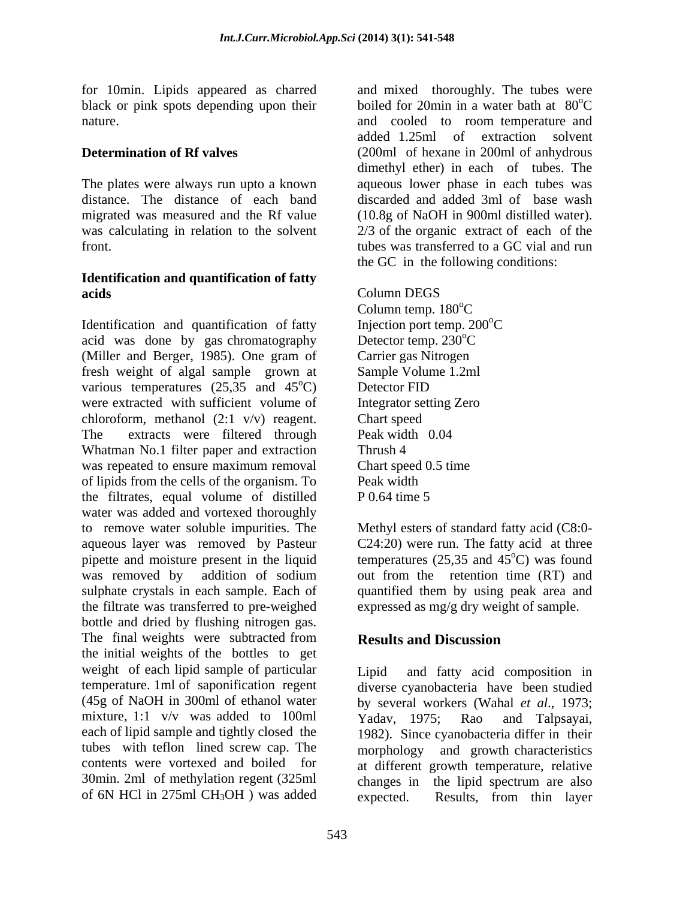black or pink spots depending upon their nature. The and constant and cooled to room temperature and cooled to room temperature and

## **Identification and quantification of fatty acids** Column DEGS

Identification and quantification of fatty Injection port temp. 200<sup>o</sup>C acid was done by gas chromatography Detector temp.  $230^{\circ}$ C (Miller and Berger, 1985). One gram of Carrier gas Nitrogen fresh weight of algal sample grown at various temperatures  $(25,35 \text{ and } 45^{\circ}\text{C})$  Detector FID were extracted with sufficient volume of Integrator setting Zero chloroform, methanol (2:1 v/v) reagent. Chart speed The extracts were filtered through Peak width 0.04 Whatman No.1 filter paper and extraction Thrush 4 was repeated to ensure maximum removal Chart speed 0.5 time of lipids from the cells of the organism. To the filtrates, equal volume of distilled  $P(0.64)$  time 5 water was added and vortexed thoroughly to remove water soluble impurities. The Methyl esters of standard fatty acid (C8:0 aqueous layer was removed by Pasteur C24:20) were run. The fatty acid at three pipette and moisture present in the liquid temperatures  $(25,35 \text{ and } 45^{\circ}\text{C})$  was found was removed by addition of sodium out from the retention time (RT) and sulphate crystals in each sample. Each of quantified them by using peak area and the filtrate was transferred to pre-weighed bottle and dried by flushing nitrogen gas. The final weights were subtracted from **Results and Discussion** the initial weights of the bottles to get weight of each lipid sample of particular Lipid temperature. 1ml of saponification regent diverse cyanobacteria have been studied (45g of NaOH in 300ml of ethanol water by several workers (Wahal *et al*., 1973; mixture, 1:1 v/v was added to 100ml Yadav, 1975; Rao and Talpsayai, each of lipid sample and tightly closed the 1982). Since cyanobacteria differ in their tubes with teflon lined screw cap. The morphology and growth characteristics contents were vortexed and boiled for at different growth temperature, relative 30min. 2ml of methylation regent (325ml changes in the lipid spectrum are also

for 10min. Lipids appeared as charred and mixed thoroughly. The tubes were **Determination of Rf valves** (200ml of hexane in 200ml of anhydrous The plates were always run upto a known aqueous lower phase in each tubes was distance. The distance of each band discarded and added 3ml of base wash migrated was measured and the Rf value (10.8g of NaOH in 900ml distilled water). was calculating in relation to the solvent 2/3 of the organic extract of each of the front. tubes was transferred to a GC vial and run boiled for 20min in a water bath at 80<sup>o</sup>C <sup>o</sup>C and cooled to room temperature and added 1.25ml of extraction solvent dimethyl ether) in each of tubes. The the GC in the following conditions:

<sup>o</sup>C) Detector FID Column DEGS Column temp.  $180^{\circ}$ C Injection port temp.  $200^{\circ}$ C Detector temp. 230°C Carrier gas Nitrogen Sample Volume 1.2ml Detector FID **Detector** FID Integrator setting Zero Chart speed Peak width 0.04 Thrush 4 Chart speed 0.5 time Peak width **Exercise 2018** P 0.64 time 5

<sup>o</sup>C) was found out from the retention time (RT) and expressed as mg/g dry weight of sample.

# **Results and Discussion**

of 6N HCl in 275ml CH<sub>3</sub>OH ) was added expected. Results, from thin layer and fatty acid composition in Yadav, 1975; Rao and Talpsayai, expected. Results, from thin layer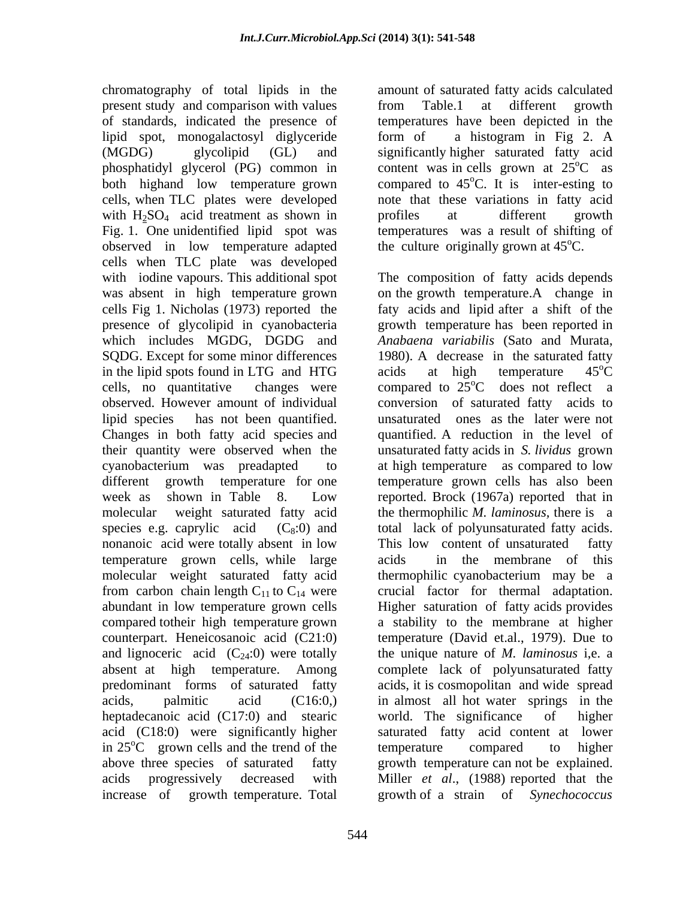present study and comparison with values from Table.1 at different growth of standards, indicated the presence of temperatures have been depicted in the lipid spot, monogalactosyl diglyceride form of a histogram in Fig 2. A (MGDG) glycolipid (GL) and significantly higher saturated fatty acid phosphatidyl glycerol (PG) common in content was in cells grown at 25<sup>o</sup>C as both highand low temperature grown compared to 45<sup>o</sup>C. It is inter-esting to cells, when TLC plates were developed note that these variations in fatty acid with  $H_2SO_4$  acid treatment as shown in profiles at different growth Fig. 1. One unidentified lipid spot was observed in low temperature adapted cells when TLC plate was developed with iodine vapours. This additional spot The composition of fatty acids depends cells Fig 1. Nicholas (1973) reported the SQDG. Except for some minor differences in the lipid spots found in LTG and HTG acids at high temperature  $45^{\circ}$ C Changes in both fatty acid species and nonanoic acid were totally absent in low This low content of unsaturated fatty temperature grown cells, while large molecular weight saturated fatty acid and lignoceric acid  $(C_{24}:0)$  were totally heptadecanoic acid (C17:0) and stearic world. The significance of higher

chromatography of total lipids in the amount of saturated fatty acids calculated from Table.1 at different growth form of a histogram in Fig 2. A  ${}^{\circ}C$  as  ${}^{\circ}$ C. It is inter-esting to profiles at different growth temperatures was a result of shifting of the culture originally grown at  $45^{\circ}$ C.

was absent in high temperature grown on the growth temperature.A change in presence of glycolipid in cyanobacteria growth temperature has been reported in which includes MGDG, DGDG and *Anabaena variabilis* (Sato and Murata, cells, no quantitative changes were compared to  $25^{\circ}$ C does not reflect a observed. However amount of individual conversion of saturated fatty acids to lipid species has not been quantified. unsaturated ones as the later were not their quantity were observed when the unsaturated fatty acids in *S. lividus* grown cyanobacterium was preadapted to at high temperature as compared to low different growth temperature for one temperature grown cells has also been week as shown in Table 8. Low reported. Brock (1967a) reported that in molecular weight saturated fatty acid the thermophilic *M. laminosus,* there is a species e.g. caprylic  $\text{acid}$   $(C_8:0)$  and total lack of polyunsaturated fatty acids. from carbon chain length  $C_{11}$  to  $C_{14}$  were crucial factor for thermal adaptation. abundant in low temperature grown cells Higher saturation of fatty acids provides compared totheir high temperature grown a stability to the membrane at higher counterpart. Heneicosanoic acid (C21:0) temperature (David et.al., 1979). Due to absent at high temperature. Among complete lack of polyunsaturated fatty predominant forms of saturated fatty acids, it is cosmopolitan and wide spread acids, palmitic acid (C16:0,) in almost all hot water springs in the acid (C18:0) were significantly higher saturated fatty acid content at lower in  $25^{\circ}$ C grown cells and the trend of the temperature compared to higher above three species of saturated fatty growth temperature can not be explained. acids progressively decreased with Miller *et al*., (1988) reported that the increase of growth temperature. Total growth of a strain of *Synechococcus*  The composition of fatty acids depends faty acids and lipid after a shift of the 1980). A decrease in the saturated fatty acids at high temperature  $45^{\circ}$ C  $\overline{C}$ <sup>o</sup>C does not reflect a quantified. A reduction in the level of This low content of unsaturated fatty in the membrane of this thermophilic cyanobacterium may be a the unique nature of *M. laminosus* i,e. a world. The significance temperature compared to higher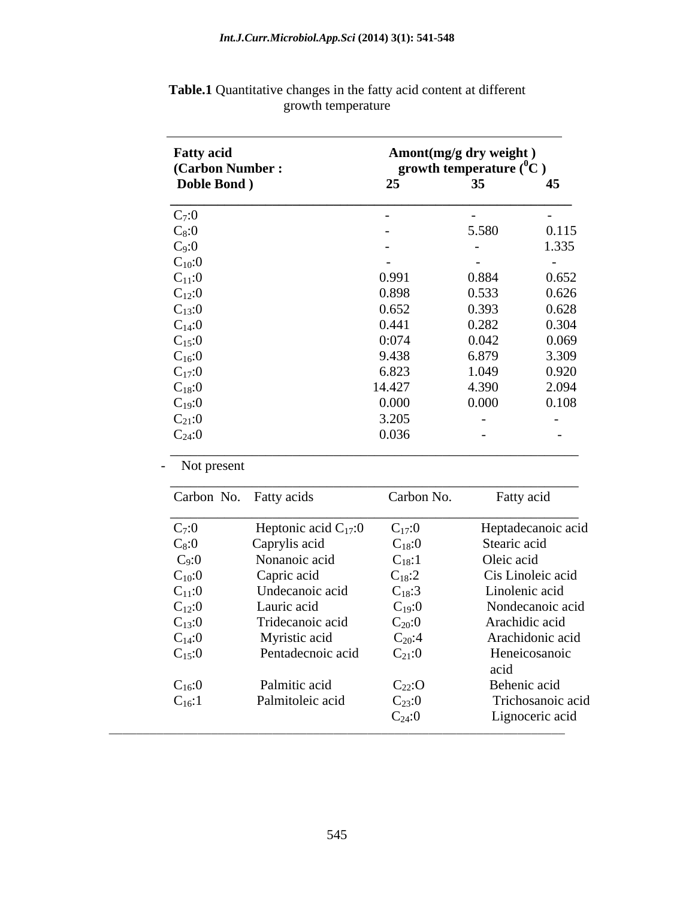| <b>Fatty acid</b> | Amont(mg/g dry weight)<br>growth temperature $(^0C)$<br>(Carbon Number:<br>25<br>35 <sup>5</sup><br>45 |               |               |
|-------------------|--------------------------------------------------------------------------------------------------------|---------------|---------------|
| Doble Bond)       |                                                                                                        |               |               |
| $C_7:0$           | $\sim$                                                                                                 | $\sim$        | $\sim$        |
| $C_8:0$           | $\sim$                                                                                                 | 5.580         | 0.115         |
| $C_9:0$           | $\overline{\phantom{0}}$                                                                               | $\sim$        | 1.335         |
| $C_{10}:0$        | $\sim$ $\sim$                                                                                          | $\sim$ $\sim$ | $\sim$ $\sim$ |
| $C_{11}:0$        | 0.991                                                                                                  | 0.884         | 0.652         |
| $C_{12}:0$        | 0.898                                                                                                  | 0.533         | 0.626         |
| $C_{13}:0$        | 0.652                                                                                                  | 0.393         | 0.628         |
| $C_{14}:0$        | 0.441                                                                                                  | 0.282         | 0.304         |
| $C_{15}:0$        | 0:074                                                                                                  | 0.042         | 0.069         |
| $C_{16}:0$        | 9.438                                                                                                  | 6.879         | 3.309         |
| $C_{17}:0$        | 6.823                                                                                                  | 1.049         | 0.920         |
| $C_{18}:0$        | 14.427                                                                                                 | 4.390         | 2.094         |
| $C_{19}:0$        | 0.000                                                                                                  | 0.000         | 0.108         |
| $C_{21}:0$        | 3.205                                                                                                  | $\sim$        | $\sim$ $-$    |
| $C_{24}:0$        | 0.036                                                                                                  | $\sim$        | $\sim$        |

 **Table.1** Quantitative changes in the fatty acid content at different growth temperature expression of the state of the state of the state of the state of the state of the state of the state of the state of the state of the state of the state of the state of the state of the state of the sta

|  | Not present |
|--|-------------|
|--|-------------|

| Carbon No. Fatty acids |                           | Carbon No.  | Fatty acid         |
|------------------------|---------------------------|-------------|--------------------|
| $C_7:0$                | Heptonic acid $C_{17}$ :0 | $C_{17}:0$  | Heptadecanoic acid |
| $C_8:0$                | Caprylis acid             | $C_{18}:0$  | Stearic acid       |
| $C_9:0$                | Nonanoic acid             | $C_{18}:1$  | Oleic acid         |
| $C_{10}:0$             | Capric acid               | $C_{18}:2$  | Cis Linoleic acid  |
| $C_{11}:0$             | Undecanoic acid           | $C_{18}:3$  | Linolenic acid     |
| $C_{12}:0$             | Lauric acid               | $C_{19}:0$  | Nondecanoic acid   |
| $C_{13}:0$             | Tridecanoic acid          | $C_{20}:0$  | Arachidic acid     |
| $C_{14}:0$             | Myristic acid             | $C_{20}:4$  | Arachidonic acid   |
| $C_{15}:0$             | Pentadecnoic acid         | $C_{21}:0$  | Heneicosanoic      |
|                        |                           |             | acid               |
| $C_{16}:0$             | Palmitic acid             | $C_{22}$ :O | Behenic acid       |
| $C_{16}:1$             | Palmitoleic acid          | $C_{23}:0$  | Trichosanoic acid  |
|                        |                           | $C_{24}:0$  | Lignoceric acid    |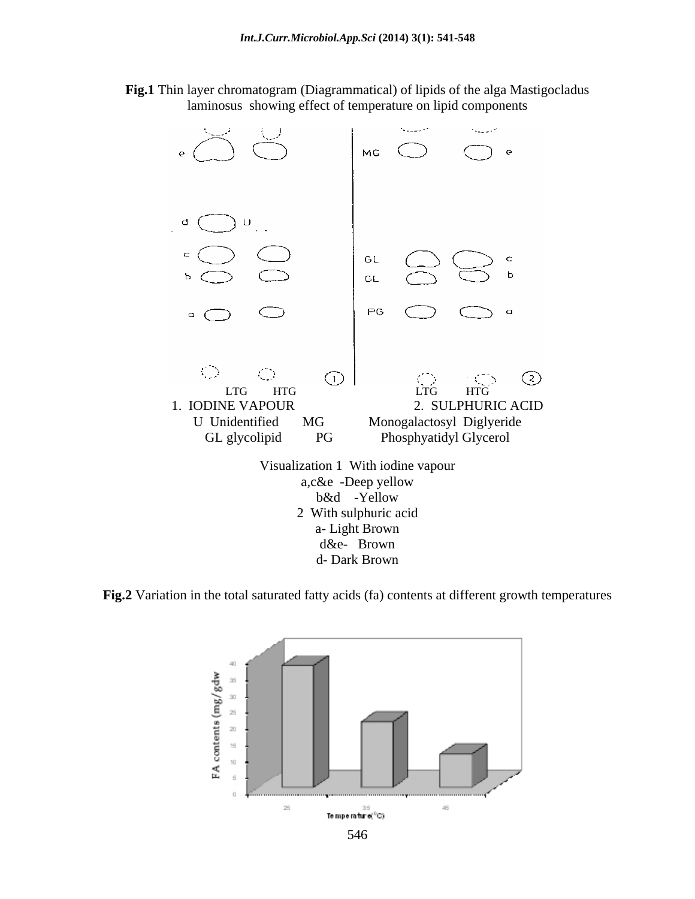**Fig.1** Thin layer chromatogram (Diagrammatical) of lipids of the alga Mastigocladus laminosus showing effect of temperature on lipid components



**Fig.2** Variation in the total saturated fatty acids (fa) contents at different growth temperatures

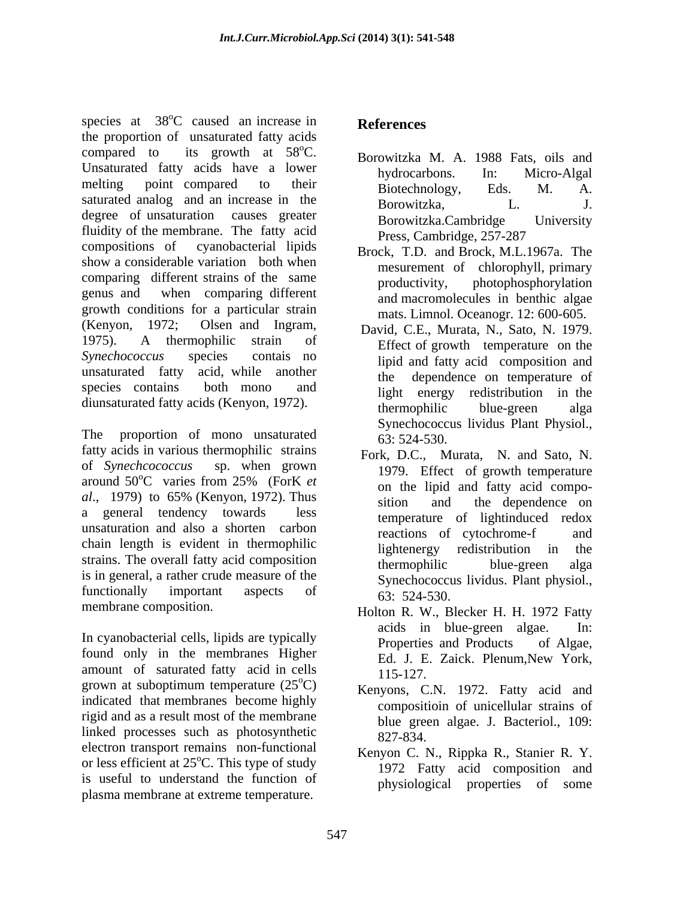species at 38<sup>o</sup>C caused an increase in References  $\rm{^{o}C}$  caused an increase in **References** the proportion of unsaturated fatty acids compared to its growth at  $58^{\circ}$ C. Borowitzka M. A. 1988 Fats, oils and Unsaturated fatty acids have a lower<br>hydrocarbons. In: Micro-Algal melting point compared to their and Biotechnology Eds M A meiting point compared to their<br>saturated analog and an increase in the Borowitzka, Borowitzka, L. J. degree of unsaturation causes greater Borowitzka.Cambridge University fluidity of the membrane. The fatty acid Press, Cambridge, 257-287 compositions of cyanobacterial lipids Brock, T.D. and Brock, M.L.1967a. The show a considerable variation both when comparing different strains of the same<br>productivity, photophosphorylation genus and when comparing different growth conditions for a particular strain (Kenyon, 1972; Olsen and Ingram, David, C.E., Murata, N., Sato, N. 1979. 1975). A thermophilic strain of Fire of growth temperature on the *Synechococcus* species contais no **i** inideed fatty acid composition and unsaturated fatty acid, while another the species contains both mono and light energy redistribution in the species at SNC caused an increasion in References<br>the properties at extreme at extreme temperature. The properties at extreme temperature at the specifical<br>constraints of the same interaction of the same increases in the s

The proportion of mono unsaturated  $\frac{63}{63}$ : 524-530. fatty acids in various thermophilic strains of *Synechcococcus* sp. when grown 1979. Effect of growth temperature around 50°C varies from 25% (ForK et  $al., 1979$  to  $65\%$  (Kenyon, 1972). Thus  $\frac{1}{\pi}$  is the dependence on a general tendency towards less temperature of lightinduced redox unsaturation and also a shorten carbon reactions of cytochrome-f and chain length is evident in thermophilic lightenergy redistribution in the strains. The overall fatty acid composition<br>thermophilic blue-green alga is in general, a rather crude measure of the functionally important aspects of  $\frac{2}{63}$ ,  $\frac{524}{524}$ ,  $\frac{524}{530}$ 

In cyanobacterial cells, lipids are typically<br>
Properties and Products of Algae, found only in the membranes Higher Ed. J. E. Zaick. Plenum, New York, amount of saturated fatty acid in cells  $\frac{25}{115-127}$ . grown at suboptimum temperature  $(25^{\circ}C)$ indicated that membranes become highly rigid and as a result most of the membrane linked processes such as photosynthetic 827-834. electron transport remains non-functional or less efficient at  $25^{\circ}$ C. This type of study is useful to understand the function of

- hydrocarbons. In: Micro-Algal Biotechnology, Eds. M. A. Borowitzka, L. J. Borowitzka.Cambridge University Press, Cambridge, 257-287
- mesurement of chlorophyll, primary productivity, photophosphorylation and macromolecules in benthic algae mats. Limnol. Oceanogr. 12: 600-605.
- diunsaturated fatty acids (Kenyon, 1972). <br>thermophilic blue-green alga Effect of growth temperature on the lipid and fatty acid composition and dependence on temperature of thermophilic blue-green alga Synechococcus lividus Plant Physiol., 63: 524-530.
	- $\rm ^{6}C$  varies from 25% (ForK *et*  $\rm _{on}$  the linid and fatty acid compo-Fork, D.C., Murata, N. and Sato, N. on the lipid and fatty acid compo sition and the dependence on reactions of cytochrome-f and lightenergy redistribution in the thermophilic blue-green alga Synechococcus lividus. Plant physiol., 63: 524-530.
- membrane composition. Holton R. W., Blecker H. H. 1972 Fatty acids in blue-green algae. In: Properties and Products of Algae, Ed. J. E. Zaick. Plenum,New York, 115-127.
	- ${}^{\circ}$ C) Kenyons, C.N. 1972. Fatty acid and compositioin of unicellular strains of blue green algae. J. Bacteriol., 109: 827-834.
		- Kenyon C. N., Rippka R., Stanier R. Y. 1972 Fatty acid composition and physiological properties of some